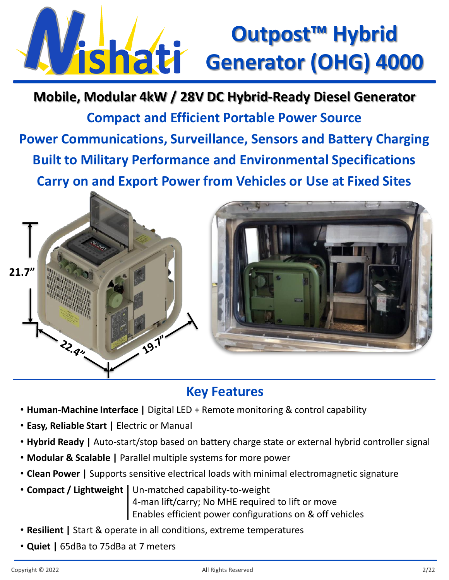## **Outpost™ Hybrid Vishati** Generator (OHG) 4000

**Compact and Efficient Portable Power Source Power Communications, Surveillance, Sensors and Battery Charging Built to Military Performance and Environmental Specifications Carry on and Export Power from Vehicles or Use at Fixed Sites Mobile, Modular 4kW / 28V DC Hybrid-Ready Diesel Generator**



## **Key Features**

- **Human-Machine Interface |** Digital LED + Remote monitoring & control capability
- **Easy, Reliable Start |** Electric or Manual
- **Hybrid Ready |** Auto-start/stop based on battery charge state or external hybrid controller signal
- **Modular & Scalable |** Parallel multiple systems for more power
- **Clean Power |** Supports sensitive electrical loads with minimal electromagnetic signature
- **Compact / Lightweight |** Un-matched capability-to-weight 4-man lift/carry; No MHE required to lift or move Enables efficient power configurations on & off vehicles
- **Resilient |** Start & operate in all conditions, extreme temperatures
- **Quiet |** 65dBa to 75dBa at 7 meters